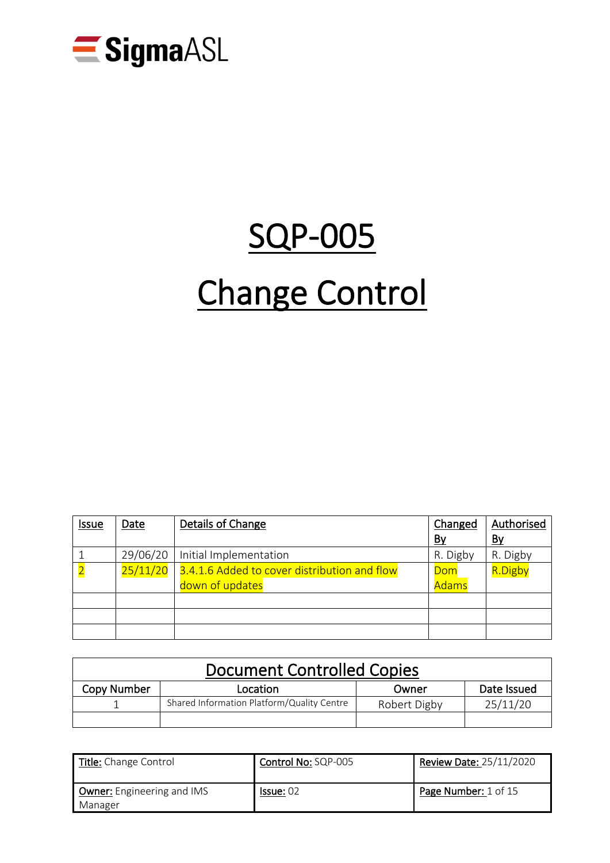

# SQP-005 Change Control

| <b>Issue</b>            | Date     | Details of Change                                               | Changed             | Authorised |
|-------------------------|----------|-----------------------------------------------------------------|---------------------|------------|
|                         |          |                                                                 | <u>By</u>           | <u>By</u>  |
|                         | 29/06/20 | Initial Implementation                                          | R. Digby            | R. Digby   |
| $\overline{\mathbf{2}}$ | 25/11/20 | 3.4.1.6 Added to cover distribution and flow<br>down of updates | Dom<br><b>Adams</b> | R.Digby    |
|                         |          |                                                                 |                     |            |
|                         |          |                                                                 |                     |            |
|                         |          |                                                                 |                     |            |

| <b>Document Controlled Copies</b> |                                            |              |             |  |  |
|-----------------------------------|--------------------------------------------|--------------|-------------|--|--|
| Copy Number                       | Location                                   | Owner        | Date Issued |  |  |
|                                   | Shared Information Platform/Quality Centre | Robert Digby | 25/11/20    |  |  |
|                                   |                                            |              |             |  |  |

| <b>Title:</b> Change Control                 | Control No: SQP-005 | <b>Review Date: 25/11/2020</b> |  |
|----------------------------------------------|---------------------|--------------------------------|--|
| <b>Owner:</b> Engineering and IMS<br>Manager | Is sue: 02          | Page Number: 1 of 15           |  |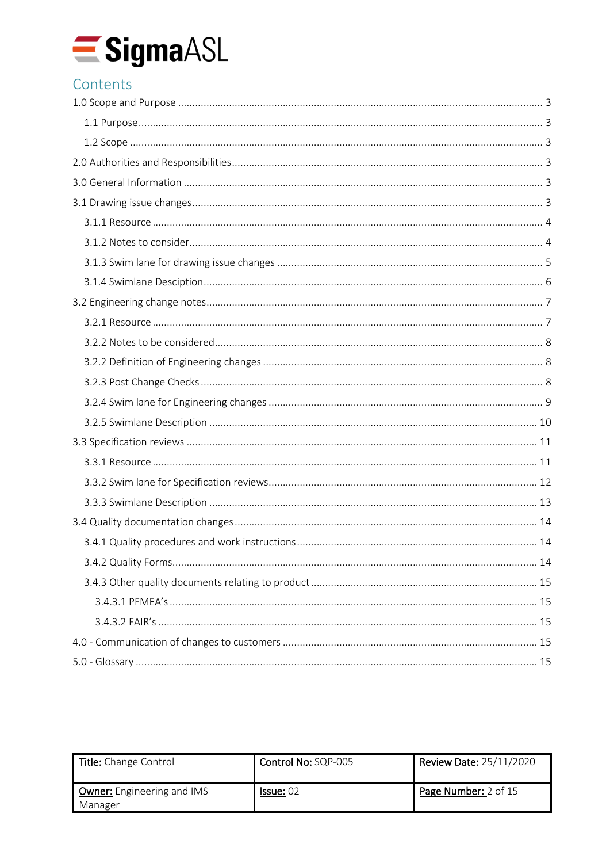

## Contents

| Title: Change Control                        | Control No: SQP-005 | <b>Review Date: 25/11/2020</b> |
|----------------------------------------------|---------------------|--------------------------------|
| <b>Owner:</b> Engineering and IMS<br>Manager | Is sue: 02          | Page Number: 2 of 15           |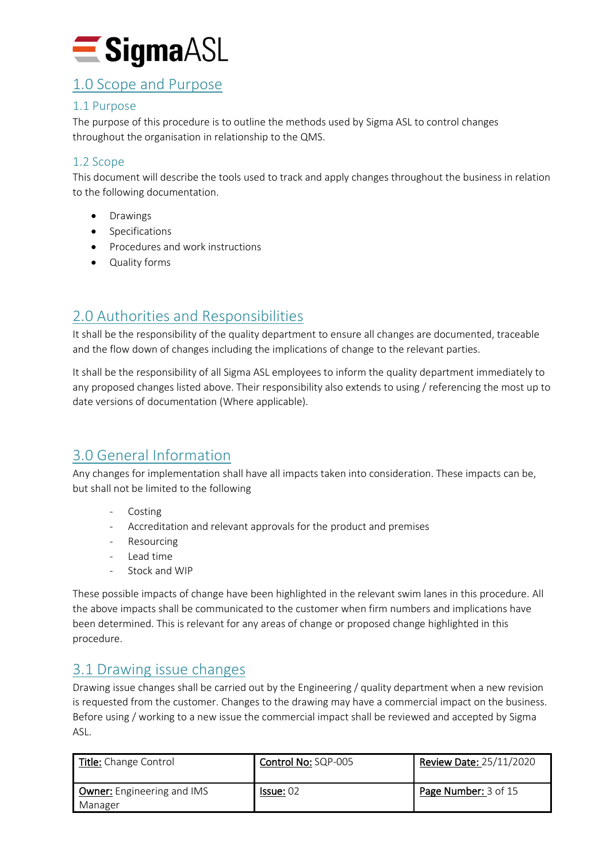

## <span id="page-2-0"></span>1.0 Scope and Purpose

#### <span id="page-2-1"></span>1.1 Purpose

The purpose of this procedure is to outline the methods used by Sigma ASL to control changes throughout the organisation in relationship to the QMS.

#### <span id="page-2-2"></span>1.2 Scope

This document will describe the tools used to track and apply changes throughout the business in relation to the following documentation.

- Drawings
- Specifications
- Procedures and work instructions
- Quality forms

## <span id="page-2-3"></span>2.0 Authorities and Responsibilities

It shall be the responsibility of the quality department to ensure all changes are documented, traceable and the flow down of changes including the implications of change to the relevant parties.

It shall be the responsibility of all Sigma ASL employees to inform the quality department immediately to any proposed changes listed above. Their responsibility also extends to using / referencing the most up to date versions of documentation (Where applicable).

## <span id="page-2-4"></span>3.0 General Information

Any changes for implementation shall have all impacts taken into consideration. These impacts can be, but shall not be limited to the following

- Costing
- Accreditation and relevant approvals for the product and premises
- Resourcing
- Lead time
- Stock and WIP

These possible impacts of change have been highlighted in the relevant swim lanes in this procedure. All the above impacts shall be communicated to the customer when firm numbers and implications have been determined. This is relevant for any areas of change or proposed change highlighted in this procedure.

## <span id="page-2-5"></span>3.1 Drawing issue changes

Drawing issue changes shall be carried out by the Engineering / quality department when a new revision is requested from the customer. Changes to the drawing may have a commercial impact on the business. Before using / working to a new issue the commercial impact shall be reviewed and accepted by Sigma ASL.

| Title: Change Control                 | Control No: SQP-005 | Review Date: 25/11/2020 |
|---------------------------------------|---------------------|-------------------------|
| Owner: Engineering and IMS<br>Manager | Is sue: 02          | Page Number: 3 of 15    |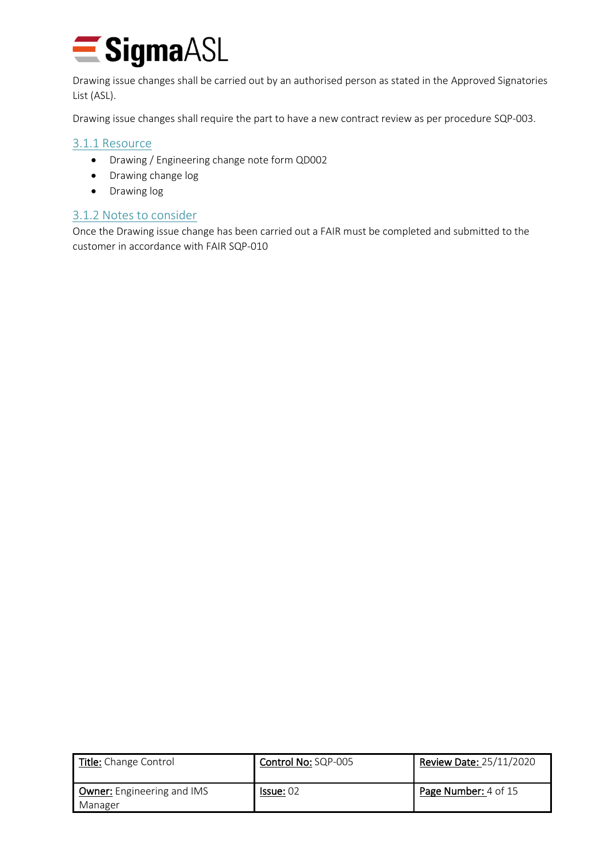

Drawing issue changes shall be carried out by an authorised person as stated in the Approved Signatories List (ASL).

Drawing issue changes shall require the part to have a new contract review as per procedure SQP-003.

#### <span id="page-3-0"></span>3.1.1 Resource

- Drawing / Engineering change note form QD002
- Drawing change log
- Drawing log

#### <span id="page-3-1"></span>3.1.2 Notes to consider

Once the Drawing issue change has been carried out a FAIR must be completed and submitted to the customer in accordance with FAIR SQP-010

| Title: Change Control                 | Control No: SQP-005 | <b>Review Date: 25/11/2020</b> |
|---------------------------------------|---------------------|--------------------------------|
| Owner: Engineering and IMS<br>Manager | Is sue: 02          | Page Number: 4 of 15           |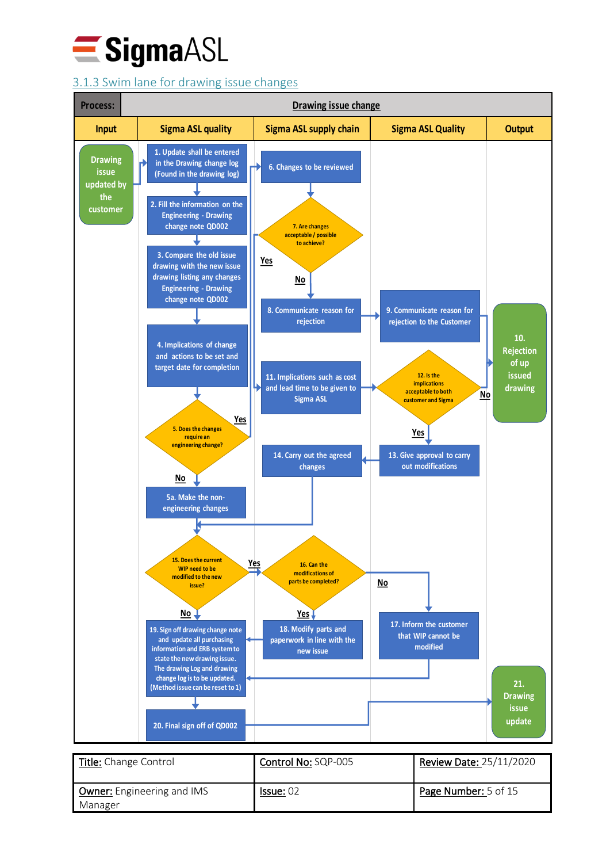

## <span id="page-4-0"></span>3.1.3 Swim lane for drawing issue changes



| Title: Change Control                 | Control No: SQP-005 | Review Date: 25/11/2020 |
|---------------------------------------|---------------------|-------------------------|
| Owner: Engineering and IMS<br>Manager | Is sue: 02          | Page Number: 5 of 15    |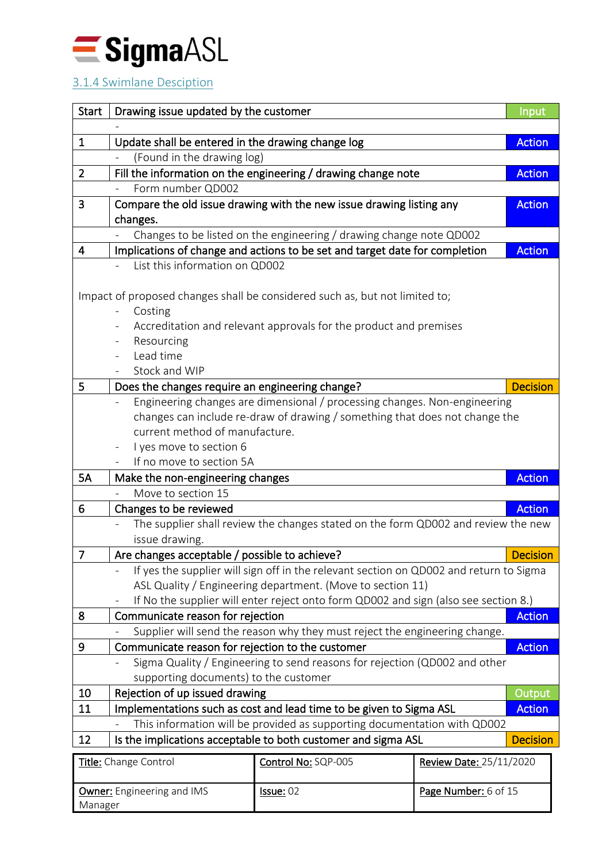

## <span id="page-5-0"></span>3.1.4 Swimlane Desciption

| <b>Start</b>          | Drawing issue updated by the customer                                                                                                           |                                                                                        |                                | Input |
|-----------------------|-------------------------------------------------------------------------------------------------------------------------------------------------|----------------------------------------------------------------------------------------|--------------------------------|-------|
|                       |                                                                                                                                                 |                                                                                        |                                |       |
| $\mathbf{1}$          | Update shall be entered in the drawing change log<br><b>Action</b>                                                                              |                                                                                        |                                |       |
|                       | (Found in the drawing log)                                                                                                                      |                                                                                        |                                |       |
| $\overline{2}$        |                                                                                                                                                 | Fill the information on the engineering / drawing change note                          | <b>Action</b>                  |       |
|                       | Form number QD002                                                                                                                               |                                                                                        |                                |       |
| 3                     |                                                                                                                                                 | Compare the old issue drawing with the new issue drawing listing any                   | <b>Action</b>                  |       |
|                       | changes.                                                                                                                                        |                                                                                        |                                |       |
| 4                     |                                                                                                                                                 | Changes to be listed on the engineering / drawing change note QD002                    | <b>Action</b>                  |       |
|                       | List this information on QD002                                                                                                                  | Implications of change and actions to be set and target date for completion            |                                |       |
|                       |                                                                                                                                                 |                                                                                        |                                |       |
|                       |                                                                                                                                                 | Impact of proposed changes shall be considered such as, but not limited to;            |                                |       |
|                       | Costing                                                                                                                                         |                                                                                        |                                |       |
|                       |                                                                                                                                                 | Accreditation and relevant approvals for the product and premises                      |                                |       |
|                       | Resourcing                                                                                                                                      |                                                                                        |                                |       |
|                       | Lead time                                                                                                                                       |                                                                                        |                                |       |
|                       | Stock and WIP                                                                                                                                   |                                                                                        |                                |       |
| 5                     | Does the changes require an engineering change?                                                                                                 |                                                                                        | <b>Decision</b>                |       |
|                       |                                                                                                                                                 | Engineering changes are dimensional / processing changes. Non-engineering              |                                |       |
|                       |                                                                                                                                                 | changes can include re-draw of drawing / something that does not change the            |                                |       |
|                       | current method of manufacture.                                                                                                                  |                                                                                        |                                |       |
|                       | I yes move to section 6<br>$\overline{\phantom{a}}$                                                                                             |                                                                                        |                                |       |
|                       | If no move to section 5A                                                                                                                        |                                                                                        |                                |       |
| <b>5A</b>             | <b>Action</b><br>Make the non-engineering changes                                                                                               |                                                                                        |                                |       |
|                       | Move to section 15                                                                                                                              |                                                                                        |                                |       |
| 6                     | <b>Action</b><br>Changes to be reviewed                                                                                                         |                                                                                        |                                |       |
|                       | The supplier shall review the changes stated on the form QD002 and review the new                                                               |                                                                                        |                                |       |
|                       | issue drawing.                                                                                                                                  |                                                                                        |                                |       |
| $\overline{7}$        | Are changes acceptable / possible to achieve?<br><b>Decision</b>                                                                                |                                                                                        |                                |       |
|                       |                                                                                                                                                 | If yes the supplier will sign off in the relevant section on QD002 and return to Sigma |                                |       |
|                       |                                                                                                                                                 | ASL Quality / Engineering department. (Move to section 11)                             |                                |       |
|                       |                                                                                                                                                 | If No the supplier will enter reject onto form QD002 and sign (also see section 8.)    |                                |       |
| 8                     | Communicate reason for rejection                                                                                                                |                                                                                        | <b>Action</b>                  |       |
| 9                     | Supplier will send the reason why they must reject the engineering change.                                                                      |                                                                                        |                                |       |
|                       | Communicate reason for rejection to the customer<br><b>Action</b>                                                                               |                                                                                        |                                |       |
|                       | Sigma Quality / Engineering to send reasons for rejection (QD002 and other<br>supporting documents) to the customer                             |                                                                                        |                                |       |
| 10                    | Rejection of up issued drawing<br>Output                                                                                                        |                                                                                        |                                |       |
| 11                    |                                                                                                                                                 |                                                                                        | <b>Action</b>                  |       |
|                       | Implementations such as cost and lead time to be given to Sigma ASL<br>This information will be provided as supporting documentation with QD002 |                                                                                        |                                |       |
| 12                    |                                                                                                                                                 | Is the implications acceptable to both customer and sigma ASL                          | <b>Decision</b>                |       |
|                       |                                                                                                                                                 | Control No: SQP-005                                                                    | <b>Review Date: 25/11/2020</b> |       |
| Title: Change Control |                                                                                                                                                 |                                                                                        |                                |       |
|                       | <b>Owner:</b> Engineering and IMS                                                                                                               | Issue: 02                                                                              | Page Number: 6 of 15           |       |
|                       | Manager                                                                                                                                         |                                                                                        |                                |       |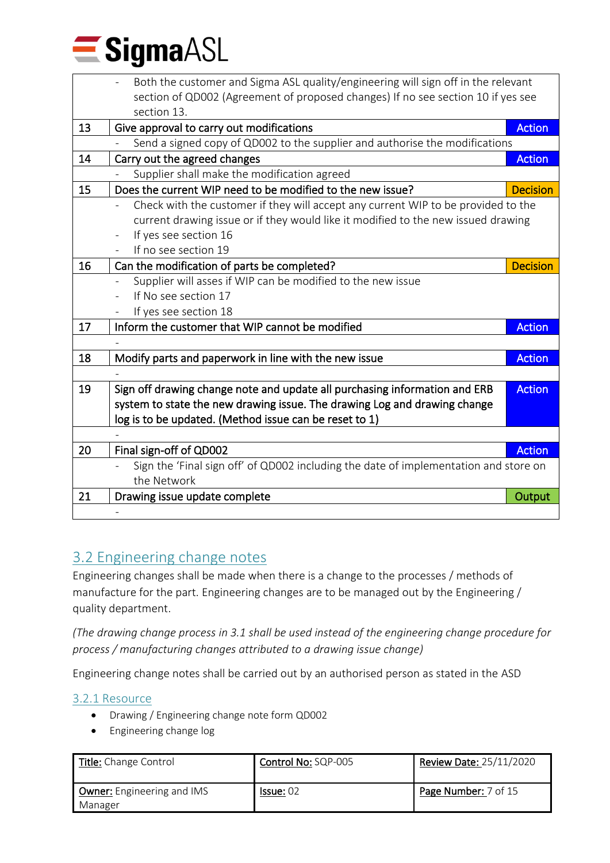

|    | Both the customer and Sigma ASL quality/engineering will sign off in the relevant    |                 |  |
|----|--------------------------------------------------------------------------------------|-----------------|--|
|    | section of QD002 (Agreement of proposed changes) If no see section 10 if yes see     |                 |  |
|    | section 13.                                                                          |                 |  |
| 13 | Give approval to carry out modifications                                             | <b>Action</b>   |  |
|    | Send a signed copy of QD002 to the supplier and authorise the modifications          |                 |  |
| 14 | Carry out the agreed changes                                                         | <b>Action</b>   |  |
|    | Supplier shall make the modification agreed                                          |                 |  |
| 15 | Does the current WIP need to be modified to the new issue?                           | <b>Decision</b> |  |
|    | Check with the customer if they will accept any current WIP to be provided to the    |                 |  |
|    | current drawing issue or if they would like it modified to the new issued drawing    |                 |  |
|    | If yes see section 16                                                                |                 |  |
|    | If no see section 19                                                                 |                 |  |
| 16 | Can the modification of parts be completed?                                          | <b>Decision</b> |  |
|    | Supplier will asses if WIP can be modified to the new issue                          |                 |  |
|    | If No see section 17                                                                 |                 |  |
|    | If yes see section 18                                                                |                 |  |
| 17 | Inform the customer that WIP cannot be modified                                      | <b>Action</b>   |  |
|    |                                                                                      |                 |  |
| 18 | Modify parts and paperwork in line with the new issue                                | <b>Action</b>   |  |
|    |                                                                                      |                 |  |
| 19 | Sign off drawing change note and update all purchasing information and ERB           | <b>Action</b>   |  |
|    | system to state the new drawing issue. The drawing Log and drawing change            |                 |  |
|    | log is to be updated. (Method issue can be reset to 1)                               |                 |  |
|    |                                                                                      |                 |  |
| 20 | Final sign-off of QD002                                                              | <b>Action</b>   |  |
|    | Sign the 'Final sign off' of QD002 including the date of implementation and store on |                 |  |
|    | the Network                                                                          |                 |  |
| 21 | Drawing issue update complete                                                        | Output          |  |
|    |                                                                                      |                 |  |

## <span id="page-6-0"></span>3.2 Engineering change notes

Engineering changes shall be made when there is a change to the processes / methods of manufacture for the part. Engineering changes are to be managed out by the Engineering / quality department.

*(The drawing change process in 3.1 shall be used instead of the engineering change procedure for process / manufacturing changes attributed to a drawing issue change)*

Engineering change notes shall be carried out by an authorised person as stated in the ASD

## <span id="page-6-1"></span>3.2.1 Resource

- Drawing / Engineering change note form QD002
- Engineering change log

| Title: Change Control                        | Control No: SQP-005 | <b>Review Date: 25/11/2020</b> |
|----------------------------------------------|---------------------|--------------------------------|
| <b>Owner:</b> Engineering and IMS<br>Manager | Is sue: 02          | Page Number: 7 of 15           |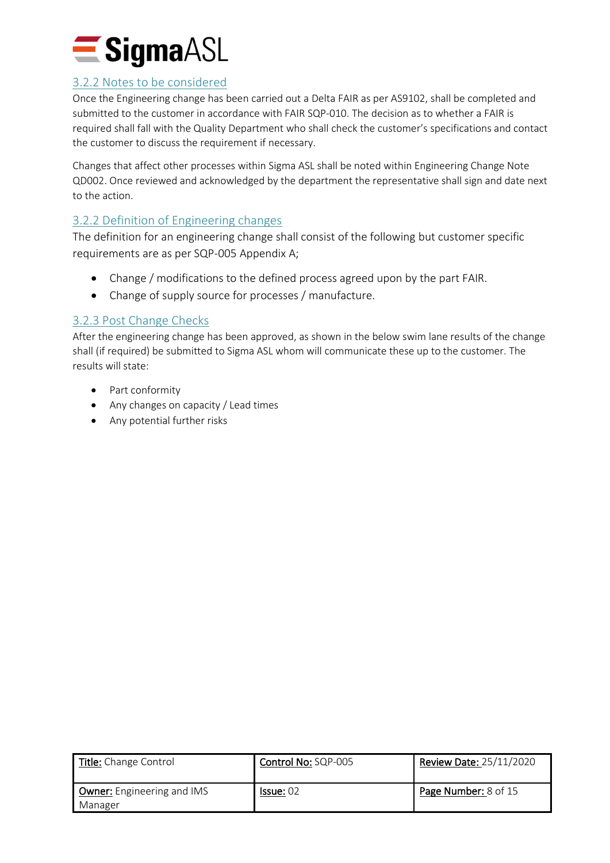

#### <span id="page-7-0"></span>3.2.2 Notes to be considered

Once the Engineering change has been carried out a Delta FAIR as per AS9102, shall be completed and submitted to the customer in accordance with FAIR SQP-010. The decision as to whether a FAIR is required shall fall with the Quality Department who shall check the customer's specifications and contact the customer to discuss the requirement if necessary.

Changes that affect other processes within Sigma ASL shall be noted within Engineering Change Note QD002. Once reviewed and acknowledged by the department the representative shall sign and date next to the action.

## <span id="page-7-1"></span>3.2.2 Definition of Engineering changes

The definition for an engineering change shall consist of the following but customer specific requirements are as per SQP-005 Appendix A;

- Change / modifications to the defined process agreed upon by the part FAIR.
- Change of supply source for processes / manufacture.

### <span id="page-7-2"></span>3.2.3 Post Change Checks

After the engineering change has been approved, as shown in the below swim lane results of the change shall (if required) be submitted to Sigma ASL whom will communicate these up to the customer. The results will state:

- Part conformity
- Any changes on capacity / Lead times
- Any potential further risks

| Title: Change Control                 | Control No: SQP-005 | Review Date: 25/11/2020     |
|---------------------------------------|---------------------|-----------------------------|
| Owner: Engineering and IMS<br>Manager | Is sue: 02          | <b>Page Number:</b> 8 of 15 |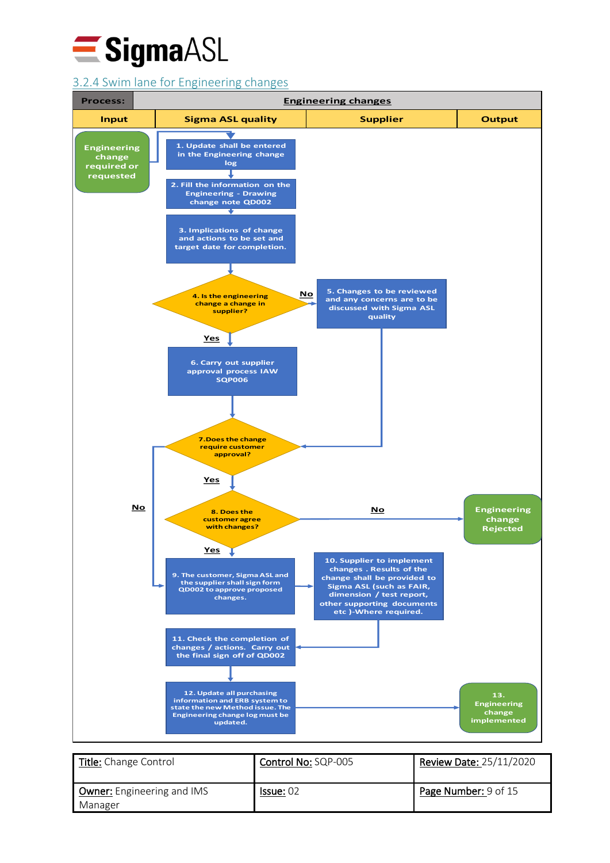

## <span id="page-8-0"></span>3.2.4 Swim lane for Engineering changes



| Title: Change Control                 | Control No: SQP-005 | <b>Review Date: 25/11/2020</b> |
|---------------------------------------|---------------------|--------------------------------|
| Owner: Engineering and IMS<br>Manager | Is sue: 02          | Page Number: 9 of 15           |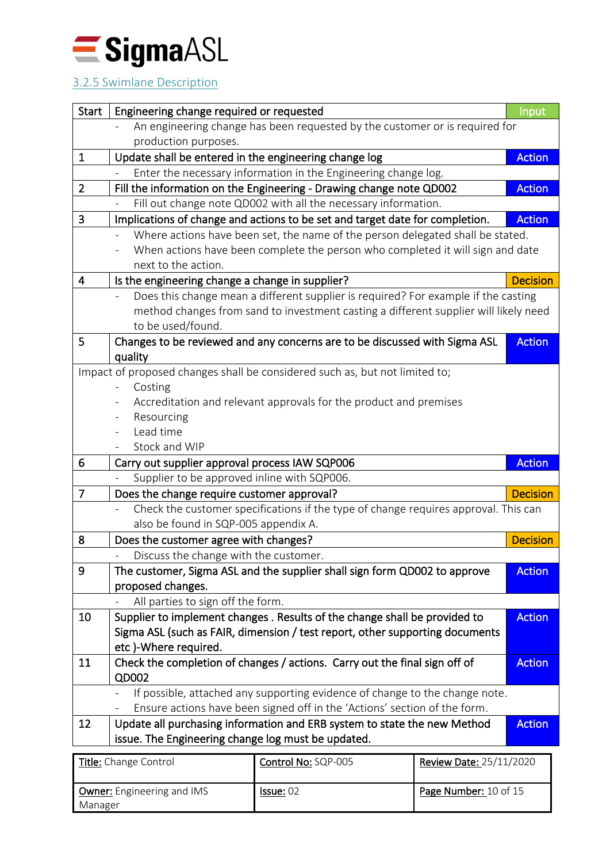

## <span id="page-9-0"></span>3.2.5 Swimlane Description

| <b>Start</b>   | Engineering change required or requested                                             | <b>Input</b>    |
|----------------|--------------------------------------------------------------------------------------|-----------------|
|                | An engineering change has been requested by the customer or is required for          |                 |
|                | production purposes.                                                                 |                 |
| $\mathbf{1}$   | Update shall be entered in the engineering change log                                | <b>Action</b>   |
|                | Enter the necessary information in the Engineering change log.                       |                 |
| $\overline{2}$ | Fill the information on the Engineering - Drawing change note QD002                  | <b>Action</b>   |
|                | Fill out change note QD002 with all the necessary information.                       |                 |
| 3              | Implications of change and actions to be set and target date for completion.         | <b>Action</b>   |
|                | Where actions have been set, the name of the person delegated shall be stated.       |                 |
|                | When actions have been complete the person who completed it will sign and date       |                 |
|                | next to the action.                                                                  |                 |
| 4              | Is the engineering change a change in supplier?                                      | <b>Decision</b> |
|                | Does this change mean a different supplier is required? For example if the casting   |                 |
|                | method changes from sand to investment casting a different supplier will likely need |                 |
|                | to be used/found.                                                                    |                 |
| 5              | Changes to be reviewed and any concerns are to be discussed with Sigma ASL           | <b>Action</b>   |
|                | quality                                                                              |                 |
|                | Impact of proposed changes shall be considered such as, but not limited to;          |                 |
|                | Costing                                                                              |                 |
|                | Accreditation and relevant approvals for the product and premises                    |                 |
|                | Resourcing                                                                           |                 |
|                | Lead time                                                                            |                 |
|                | Stock and WIP                                                                        |                 |
| 6              | Carry out supplier approval process IAW SQP006                                       | <b>Action</b>   |
|                | Supplier to be approved inline with SQP006.                                          |                 |
| 7              | Does the change require customer approval?                                           | <b>Decision</b> |
|                | Check the customer specifications if the type of change requires approval. This can  |                 |
|                | also be found in SQP-005 appendix A.                                                 |                 |
| 8              | Does the customer agree with changes?                                                | <b>Decision</b> |
|                | Discuss the change with the customer.                                                |                 |
| 9              | The customer, Sigma ASL and the supplier shall sign form QD002 to approve            | <b>Action</b>   |
|                | proposed changes.                                                                    |                 |
|                | All parties to sign off the form.                                                    | <b>Action</b>   |
| 10             | Supplier to implement changes. Results of the change shall be provided to            |                 |
|                | Sigma ASL (such as FAIR, dimension / test report, other supporting documents         |                 |
|                | etc)-Where required.                                                                 |                 |
| 11             | Check the completion of changes / actions. Carry out the final sign off of<br>QD002  | <b>Action</b>   |
|                | If possible, attached any supporting evidence of change to the change note.          |                 |
|                | Ensure actions have been signed off in the 'Actions' section of the form.            |                 |
| 12             | Update all purchasing information and ERB system to state the new Method             | <b>Action</b>   |
|                | issue. The Engineering change log must be updated.                                   |                 |
|                |                                                                                      |                 |
|                | Title: Change Control<br>Control No: SOP-005<br><b>Review Date: 25/11/2020</b>       |                 |

| Title: Change Control      | Control No: SQP-005 | <b>Review Date: 25/11/2020</b> |
|----------------------------|---------------------|--------------------------------|
| Owner: Engineering and IMS | <b>Issue: 02</b>    | Page Number: 10 of 15          |
| Manager                    |                     |                                |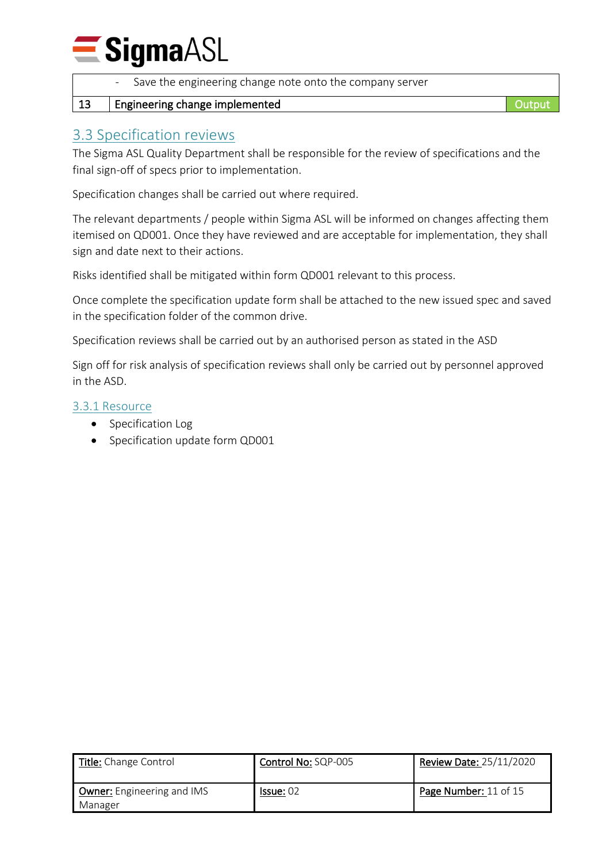## **SigmaASL**

| $\Omega$ . If continuously a showng insular control.       |  |
|------------------------------------------------------------|--|
| - Save the engineering change note onto the company server |  |

## 13 | Engineering change implemented **Containers** Containers and Output

## <span id="page-10-0"></span>3.3 Specification reviews

The Sigma ASL Quality Department shall be responsible for the review of specifications and the final sign-off of specs prior to implementation.

Specification changes shall be carried out where required.

The relevant departments / people within Sigma ASL will be informed on changes affecting them itemised on QD001. Once they have reviewed and are acceptable for implementation, they shall sign and date next to their actions.

Risks identified shall be mitigated within form QD001 relevant to this process.

Once complete the specification update form shall be attached to the new issued spec and saved in the specification folder of the common drive.

Specification reviews shall be carried out by an authorised person as stated in the ASD

Sign off for risk analysis of specification reviews shall only be carried out by personnel approved in the ASD.

#### <span id="page-10-1"></span>3.3.1 Resource

- Specification Log
- Specification update form QD001

| <b>Title:</b> Change Control                 | Control No: SQP-005 | <b>Review Date: 25/11/2020</b> |
|----------------------------------------------|---------------------|--------------------------------|
| <b>Owner:</b> Engineering and IMS<br>Manager | Is sue: 02          | Page Number: 11 of 15          |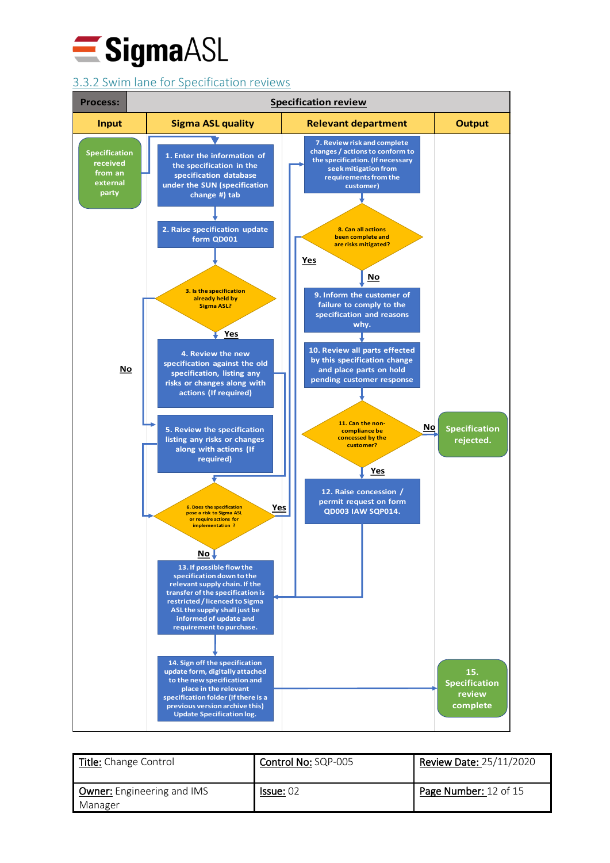

## <span id="page-11-0"></span>3.3.2 Swim lane for Specification reviews



| Title: Change Control                        | Control No: SQP-005 | Review Date: 25/11/2020 |
|----------------------------------------------|---------------------|-------------------------|
| <b>Owner:</b> Engineering and IMS<br>Manager | Is sue: 02          | Page Number: 12 of 15   |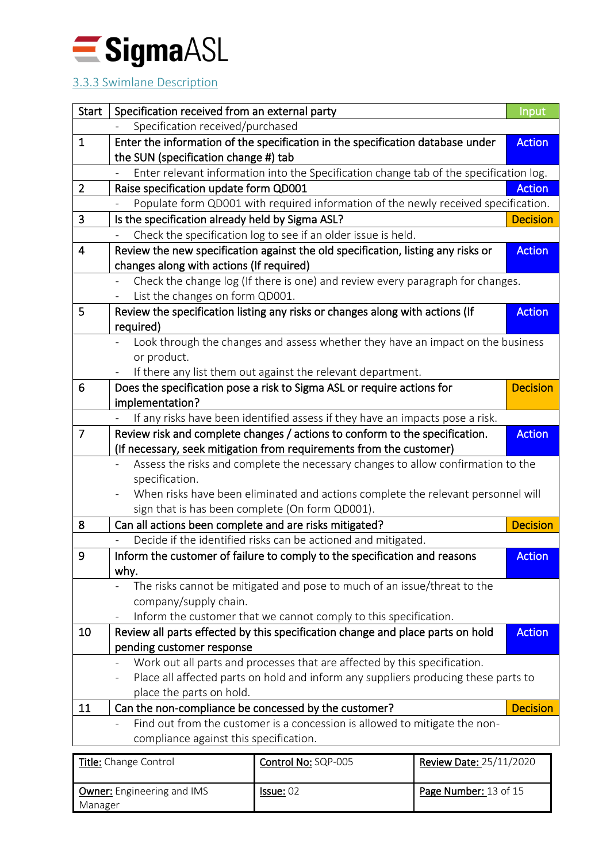

## <span id="page-12-0"></span>3.3.3 Swimlane Description

| <b>Start</b>                           | Specification received from an external party                                                   |                                                                                        | Input                   |                 |
|----------------------------------------|-------------------------------------------------------------------------------------------------|----------------------------------------------------------------------------------------|-------------------------|-----------------|
|                                        | Specification received/purchased                                                                |                                                                                        |                         |                 |
| $\mathbf{1}$                           |                                                                                                 | Enter the information of the specification in the specification database under         |                         | <b>Action</b>   |
|                                        | the SUN (specification change #) tab                                                            |                                                                                        |                         |                 |
|                                        |                                                                                                 | Enter relevant information into the Specification change tab of the specification log. |                         |                 |
| $\overline{2}$                         | Raise specification update form QD001                                                           |                                                                                        |                         | <b>Action</b>   |
|                                        |                                                                                                 | Populate form QD001 with required information of the newly received specification.     |                         |                 |
| 3                                      | Is the specification already held by Sigma ASL?                                                 |                                                                                        |                         | <b>Decision</b> |
|                                        |                                                                                                 | Check the specification log to see if an older issue is held.                          |                         |                 |
| $\overline{4}$                         |                                                                                                 | Review the new specification against the old specification, listing any risks or       |                         | <b>Action</b>   |
|                                        | changes along with actions (If required)                                                        |                                                                                        |                         |                 |
|                                        |                                                                                                 | Check the change log (If there is one) and review every paragraph for changes.         |                         |                 |
|                                        | List the changes on form QD001.                                                                 |                                                                                        |                         |                 |
| 5                                      |                                                                                                 | Review the specification listing any risks or changes along with actions (If           |                         | <b>Action</b>   |
|                                        | required)                                                                                       |                                                                                        |                         |                 |
|                                        |                                                                                                 | Look through the changes and assess whether they have an impact on the business        |                         |                 |
|                                        | or product.                                                                                     |                                                                                        |                         |                 |
|                                        |                                                                                                 | If there any list them out against the relevant department.                            |                         |                 |
| 6                                      |                                                                                                 | Does the specification pose a risk to Sigma ASL or require actions for                 |                         | <b>Decision</b> |
|                                        | implementation?                                                                                 |                                                                                        |                         |                 |
|                                        |                                                                                                 | If any risks have been identified assess if they have an impacts pose a risk.          |                         |                 |
| $\overline{7}$                         |                                                                                                 | Review risk and complete changes / actions to conform to the specification.            |                         | <b>Action</b>   |
|                                        |                                                                                                 | (If necessary, seek mitigation from requirements from the customer)                    |                         |                 |
|                                        |                                                                                                 | Assess the risks and complete the necessary changes to allow confirmation to the       |                         |                 |
|                                        | specification.                                                                                  |                                                                                        |                         |                 |
|                                        | When risks have been eliminated and actions complete the relevant personnel will                |                                                                                        |                         |                 |
|                                        |                                                                                                 | sign that is has been complete (On form QD001).                                        |                         |                 |
| 8                                      | Can all actions been complete and are risks mitigated?                                          |                                                                                        |                         | <b>Decision</b> |
|                                        |                                                                                                 | Decide if the identified risks can be actioned and mitigated.                          |                         |                 |
| 9                                      |                                                                                                 | Inform the customer of failure to comply to the specification and reasons              |                         | <b>Action</b>   |
|                                        | why.                                                                                            |                                                                                        |                         |                 |
|                                        |                                                                                                 | The risks cannot be mitigated and pose to much of an issue/threat to the               |                         |                 |
|                                        | company/supply chain.                                                                           |                                                                                        |                         |                 |
|                                        | $\overline{\phantom{a}}$                                                                        | Inform the customer that we cannot comply to this specification.                       |                         |                 |
| 10                                     | Review all parts effected by this specification change and place parts on hold<br><b>Action</b> |                                                                                        |                         |                 |
|                                        | pending customer response                                                                       |                                                                                        |                         |                 |
|                                        | Work out all parts and processes that are affected by this specification.                       |                                                                                        |                         |                 |
|                                        | Place all affected parts on hold and inform any suppliers producing these parts to              |                                                                                        |                         |                 |
|                                        | place the parts on hold.                                                                        |                                                                                        |                         |                 |
| 11                                     |                                                                                                 | Can the non-compliance be concessed by the customer?                                   |                         | <b>Decision</b> |
|                                        |                                                                                                 | Find out from the customer is a concession is allowed to mitigate the non-             |                         |                 |
| compliance against this specification. |                                                                                                 |                                                                                        |                         |                 |
|                                        | Title: Change Control                                                                           | Control No: SQP-005                                                                    | Review Date: 25/11/2020 |                 |

| <b>Title:</b> Change Control                 | Control No: SQP-005 | Review Date: 25/11/2020 |
|----------------------------------------------|---------------------|-------------------------|
| <b>Owner:</b> Engineering and IMS<br>Manager | Is sue: 02          | Page Number: 13 of 15   |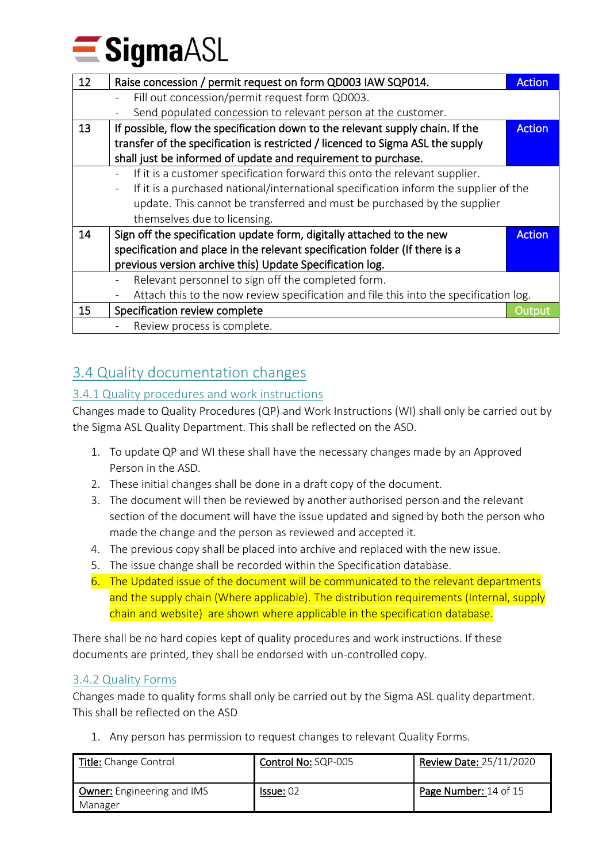$\equiv$  SigmaASL

| 12 | Raise concession / permit request on form QD003 IAW SQP014.                           | <b>Action</b> |
|----|---------------------------------------------------------------------------------------|---------------|
|    | Fill out concession/permit request form QD003.                                        |               |
|    | Send populated concession to relevant person at the customer.                         |               |
| 13 | If possible, flow the specification down to the relevant supply chain. If the         | <b>Action</b> |
|    | transfer of the specification is restricted / licenced to Sigma ASL the supply        |               |
|    | shall just be informed of update and requirement to purchase.                         |               |
|    | If it is a customer specification forward this onto the relevant supplier.            |               |
|    | If it is a purchased national/international specification inform the supplier of the  |               |
|    | update. This cannot be transferred and must be purchased by the supplier              |               |
|    | themselves due to licensing.                                                          |               |
| 14 | Sign off the specification update form, digitally attached to the new                 | <b>Action</b> |
|    | specification and place in the relevant specification folder (If there is a           |               |
|    | previous version archive this) Update Specification log.                              |               |
|    | Relevant personnel to sign off the completed form.                                    |               |
|    | Attach this to the now review specification and file this into the specification log. |               |
| 15 | Specification review complete                                                         | Output        |
|    | Review process is complete.                                                           |               |

## <span id="page-13-0"></span>3.4 Quality documentation changes

## <span id="page-13-1"></span>3.4.1 Quality procedures and work instructions

Changes made to Quality Procedures (QP) and Work Instructions (WI) shall only be carried out by the Sigma ASL Quality Department. This shall be reflected on the ASD.

- 1. To update QP and WI these shall have the necessary changes made by an Approved Person in the ASD.
- 2. These initial changes shall be done in a draft copy of the document.
- 3. The document will then be reviewed by another authorised person and the relevant section of the document will have the issue updated and signed by both the person who made the change and the person as reviewed and accepted it.
- 4. The previous copy shall be placed into archive and replaced with the new issue.
- 5. The issue change shall be recorded within the Specification database.
- 6. The Updated issue of the document will be communicated to the relevant departments and the supply chain (Where applicable). The distribution requirements (Internal, supply chain and website) are shown where applicable in the specification database.

There shall be no hard copies kept of quality procedures and work instructions. If these documents are printed, they shall be endorsed with un-controlled copy.

## <span id="page-13-2"></span>3.4.2 Quality Forms

Changes made to quality forms shall only be carried out by the Sigma ASL quality department. This shall be reflected on the ASD

1. Any person has permission to request changes to relevant Quality Forms.

| Title: Change Control                 | Control No: SQP-005 | <b>Review Date: 25/11/2020</b> |
|---------------------------------------|---------------------|--------------------------------|
| Owner: Engineering and IMS<br>Manager | Is sue: 02          | Page Number: 14 of 15          |